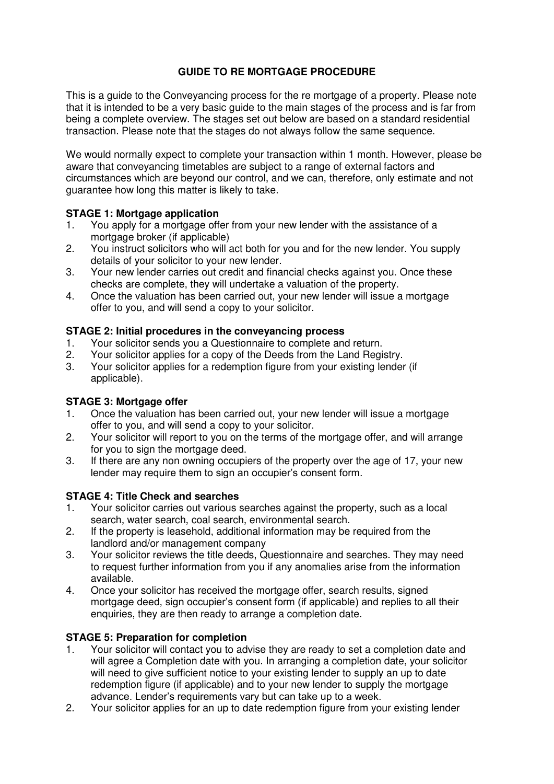# **GUIDE TO RE MORTGAGE PROCEDURE**

This is a guide to the Conveyancing process for the re mortgage of a property. Please note that it is intended to be a very basic guide to the main stages of the process and is far from being a complete overview. The stages set out below are based on a standard residential transaction. Please note that the stages do not always follow the same sequence.

We would normally expect to complete your transaction within 1 month. However, please be aware that conveyancing timetables are subject to a range of external factors and circumstances which are beyond our control, and we can, therefore, only estimate and not guarantee how long this matter is likely to take.

### **STAGE 1: Mortgage application**

- 1. You apply for a mortgage offer from your new lender with the assistance of a mortgage broker (if applicable)
- 2. You instruct solicitors who will act both for you and for the new lender. You supply details of your solicitor to your new lender.
- 3. Your new lender carries out credit and financial checks against you. Once these checks are complete, they will undertake a valuation of the property.
- 4. Once the valuation has been carried out, your new lender will issue a mortgage offer to you, and will send a copy to your solicitor.

#### **STAGE 2: Initial procedures in the conveyancing process**

- 1. Your solicitor sends you a Questionnaire to complete and return.
- 2. Your solicitor applies for a copy of the Deeds from the Land Registry.
- 3. Your solicitor applies for a redemption figure from your existing lender (if applicable).

#### **STAGE 3: Mortgage offer**

- 1. Once the valuation has been carried out, your new lender will issue a mortgage offer to you, and will send a copy to your solicitor.
- 2. Your solicitor will report to you on the terms of the mortgage offer, and will arrange for you to sign the mortgage deed.
- 3. If there are any non owning occupiers of the property over the age of 17, your new lender may require them to sign an occupier's consent form.

#### **STAGE 4: Title Check and searches**

- 1. Your solicitor carries out various searches against the property, such as a local search, water search, coal search, environmental search.
- 2. If the property is leasehold, additional information may be required from the landlord and/or management company
- 3. Your solicitor reviews the title deeds, Questionnaire and searches. They may need to request further information from you if any anomalies arise from the information available.
- 4. Once your solicitor has received the mortgage offer, search results, signed mortgage deed, sign occupier's consent form (if applicable) and replies to all their enquiries, they are then ready to arrange a completion date.

#### **STAGE 5: Preparation for completion**

- 1. Your solicitor will contact you to advise they are ready to set a completion date and will agree a Completion date with you. In arranging a completion date, your solicitor will need to give sufficient notice to your existing lender to supply an up to date redemption figure (if applicable) and to your new lender to supply the mortgage advance. Lender's requirements vary but can take up to a week.
- 2. Your solicitor applies for an up to date redemption figure from your existing lender